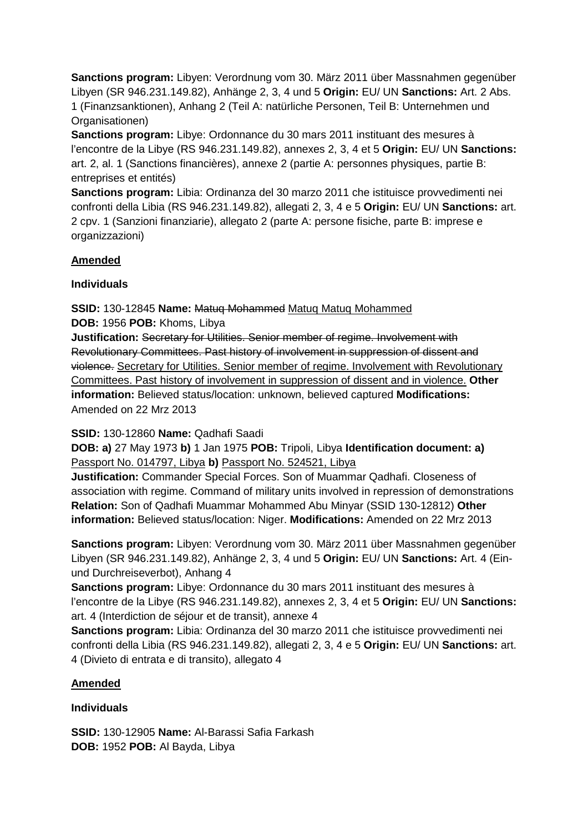**Sanctions program:** Libyen: Verordnung vom 30. März 2011 über Massnahmen gegenüber Libyen (SR 946.231.149.82), Anhänge 2, 3, 4 und 5 **Origin:** EU/ UN **Sanctions:** Art. 2 Abs. 1 (Finanzsanktionen), Anhang 2 (Teil A: natürliche Personen, Teil B: Unternehmen und Organisationen)

**Sanctions program:** Libye: Ordonnance du 30 mars 2011 instituant des mesures à l'encontre de la Libye (RS 946.231.149.82), annexes 2, 3, 4 et 5 **Origin:** EU/ UN **Sanctions:** art. 2, al. 1 (Sanctions financières), annexe 2 (partie A: personnes physiques, partie B: entreprises et entités)

**Sanctions program:** Libia: Ordinanza del 30 marzo 2011 che istituisce provvedimenti nei confronti della Libia (RS 946.231.149.82), allegati 2, 3, 4 e 5 **Origin:** EU/ UN **Sanctions:** art. 2 cpv. 1 (Sanzioni finanziarie), allegato 2 (parte A: persone fisiche, parte B: imprese e organizzazioni)

## **Amended**

#### **Individuals**

**SSID:** 130-12845 **Name:** Matuq Mohammed Matuq Matuq Mohammed

**DOB:** 1956 **POB:** Khoms, Libya

**Justification:** Secretary for Utilities. Senior member of regime. Involvement with Revolutionary Committees. Past history of involvement in suppression of dissent and violence. Secretary for Utilities. Senior member of regime. Involvement with Revolutionary Committees. Past history of involvement in suppression of dissent and in violence. **Other information:** Believed status/location: unknown, believed captured **Modifications:**  Amended on 22 Mrz 2013

#### **SSID:** 130-12860 **Name:** Qadhafi Saadi

**DOB: a)** 27 May 1973 **b)** 1 Jan 1975 **POB:** Tripoli, Libya **Identification document: a)**  Passport No. 014797, Libya **b)** Passport No. 524521, Libya

**Justification:** Commander Special Forces. Son of Muammar Qadhafi. Closeness of association with regime. Command of military units involved in repression of demonstrations **Relation:** Son of Qadhafi Muammar Mohammed Abu Minyar (SSID 130-12812) **Other information:** Believed status/location: Niger. **Modifications:** Amended on 22 Mrz 2013

**Sanctions program:** Libyen: Verordnung vom 30. März 2011 über Massnahmen gegenüber Libyen (SR 946.231.149.82), Anhänge 2, 3, 4 und 5 **Origin:** EU/ UN **Sanctions:** Art. 4 (Einund Durchreiseverbot), Anhang 4

**Sanctions program:** Libye: Ordonnance du 30 mars 2011 instituant des mesures à l'encontre de la Libye (RS 946.231.149.82), annexes 2, 3, 4 et 5 **Origin:** EU/ UN **Sanctions:** art. 4 (Interdiction de séjour et de transit), annexe 4

**Sanctions program:** Libia: Ordinanza del 30 marzo 2011 che istituisce provvedimenti nei confronti della Libia (RS 946.231.149.82), allegati 2, 3, 4 e 5 **Origin:** EU/ UN **Sanctions:** art. 4 (Divieto di entrata e di transito), allegato 4

# **Amended**

# **Individuals**

**SSID:** 130-12905 **Name:** Al-Barassi Safia Farkash **DOB:** 1952 **POB:** Al Bayda, Libya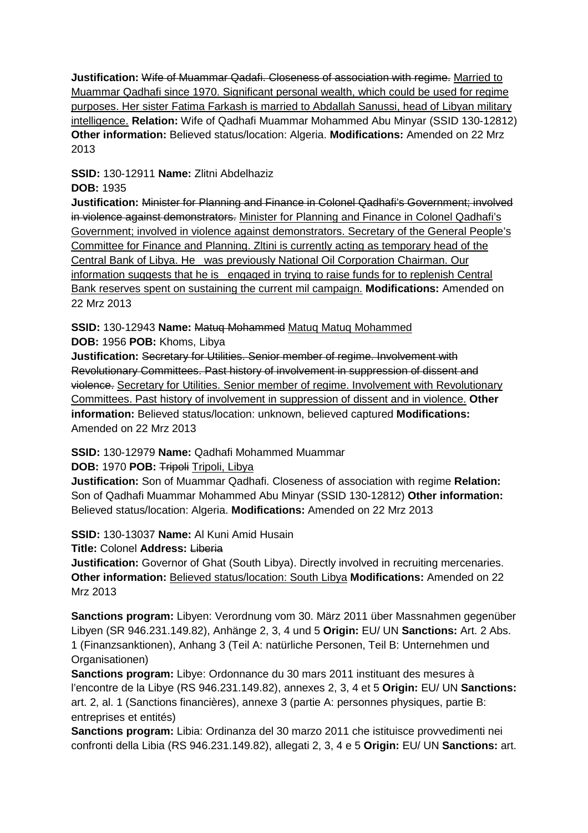**Justification:** Wife of Muammar Qadafi. Closeness of association with regime. Married to Muammar Qadhafi since 1970. Significant personal wealth, which could be used for regime purposes. Her sister Fatima Farkash is married to Abdallah Sanussi, head of Libyan military intelligence. **Relation:** Wife of Qadhafi Muammar Mohammed Abu Minyar (SSID 130-12812) **Other information:** Believed status/location: Algeria. **Modifications:** Amended on 22 Mrz 2013

**SSID:** 130-12911 **Name:** Zlitni Abdelhaziz

## **DOB:** 1935

**Justification:** Minister for Planning and Finance in Colonel Qadhafi's Government; involved in violence against demonstrators. Minister for Planning and Finance in Colonel Qadhafi's Government; involved in violence against demonstrators. Secretary of the General People's Committee for Finance and Planning. Zltini is currently acting as temporary head of the Central Bank of Libya. He was previously National Oil Corporation Chairman. Our information suggests that he is engaged in trying to raise funds for to replenish Central Bank reserves spent on sustaining the current mil campaign. **Modifications:** Amended on 22 Mrz 2013

**SSID:** 130-12943 **Name:** Matuq Mohammed Matuq Matuq Mohammed **DOB:** 1956 **POB:** Khoms, Libya

**Justification:** Secretary for Utilities. Senior member of regime. Involvement with Revolutionary Committees. Past history of involvement in suppression of dissent and violence. Secretary for Utilities. Senior member of regime. Involvement with Revolutionary Committees. Past history of involvement in suppression of dissent and in violence. **Other information:** Believed status/location: unknown, believed captured **Modifications:**  Amended on 22 Mrz 2013

**SSID:** 130-12979 **Name:** Qadhafi Mohammed Muammar

**DOB:** 1970 **POB:** Tripoli Tripoli, Libya

**Justification:** Son of Muammar Qadhafi. Closeness of association with regime **Relation:** Son of Qadhafi Muammar Mohammed Abu Minyar (SSID 130-12812) **Other information:** Believed status/location: Algeria. **Modifications:** Amended on 22 Mrz 2013

**SSID:** 130-13037 **Name:** Al Kuni Amid Husain

**Title:** Colonel **Address:** Liberia

**Justification:** Governor of Ghat (South Libya). Directly involved in recruiting mercenaries. **Other information:** Believed status/location: South Libya **Modifications:** Amended on 22 Mrz 2013

**Sanctions program:** Libyen: Verordnung vom 30. März 2011 über Massnahmen gegenüber Libyen (SR 946.231.149.82), Anhänge 2, 3, 4 und 5 **Origin:** EU/ UN **Sanctions:** Art. 2 Abs. 1 (Finanzsanktionen), Anhang 3 (Teil A: natürliche Personen, Teil B: Unternehmen und Organisationen)

**Sanctions program:** Libye: Ordonnance du 30 mars 2011 instituant des mesures à l'encontre de la Libye (RS 946.231.149.82), annexes 2, 3, 4 et 5 **Origin:** EU/ UN **Sanctions:** art. 2, al. 1 (Sanctions financières), annexe 3 (partie A: personnes physiques, partie B: entreprises et entités)

**Sanctions program:** Libia: Ordinanza del 30 marzo 2011 che istituisce provvedimenti nei confronti della Libia (RS 946.231.149.82), allegati 2, 3, 4 e 5 **Origin:** EU/ UN **Sanctions:** art.